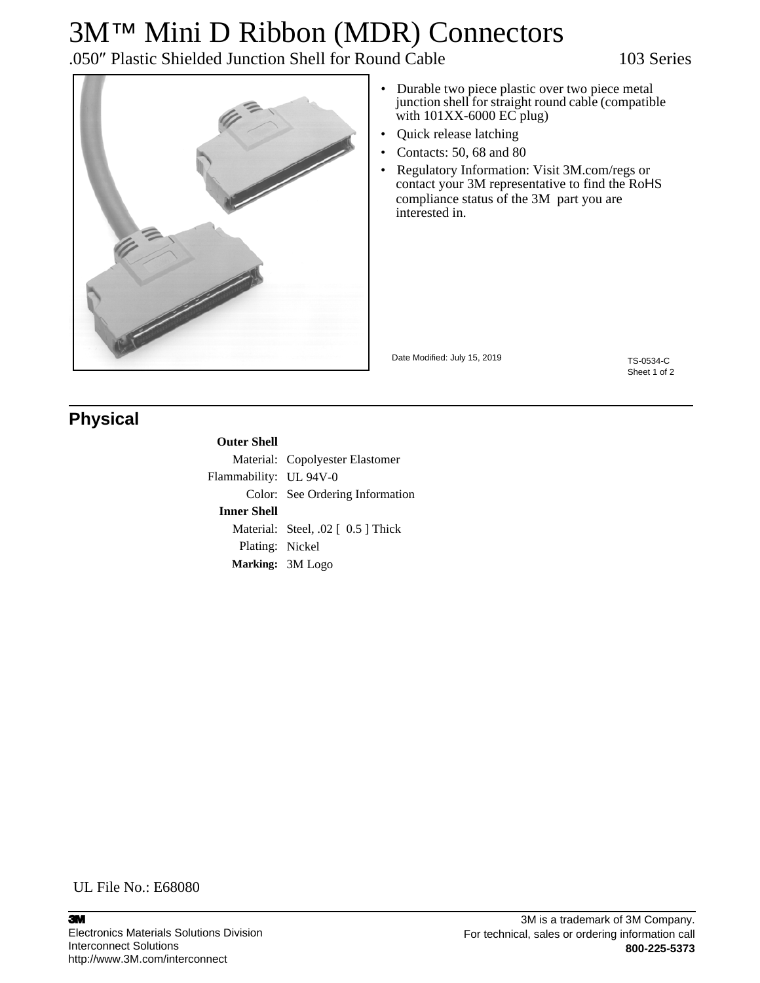# 3M™ Mini D Ribbon (MDR) Connectors

.050″ Plastic Shielded Junction Shell for Round Cable 103 Series



- Durable two piece plastic over two piece metal junction shell for straight round cable (compatible with  $101XX - 6000$  EC plug)
- Quick release latching
- Contacts: 50, 68 and 80
- Regulatory Information: Visit 3M.com/regs or contact your 3M representative to find the RoHS compliance status of the 3M part you are interested in.

Date Modified: July 15, 2019

TS-0534-C Sheet 1 of 2

### **Physical**

#### **Outer Shell**

|                        | Material: Copolyester Elastomer    |
|------------------------|------------------------------------|
| Flammability: UL 94V-0 |                                    |
|                        | Color: See Ordering Information    |
| <b>Inner Shell</b>     |                                    |
|                        | Material: Steel, .02 [ 0.5 ] Thick |
| Plating: Nickel        |                                    |
|                        | Marking: 3M Logo                   |

UL File No.: E68080

3M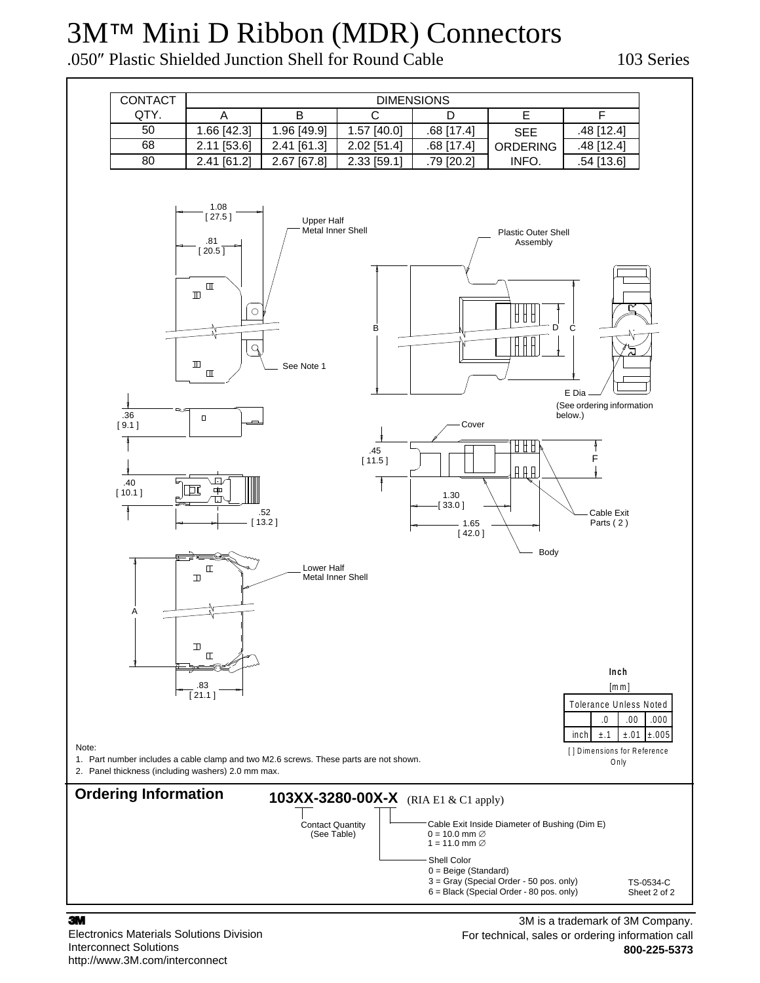## 3M™ Mini D Ribbon (MDR) Connectors

.050″ Plastic Shielded Junction Shell for Round Cable 103 Series



#### 3M

Electronics Materials Solutions Division Interconnect Solutions http://www.3M.com/interconnect